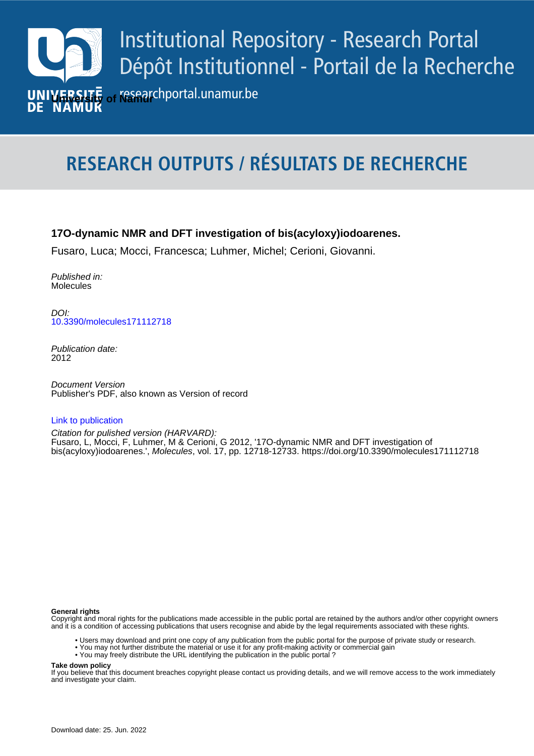

# **RESEARCH OUTPUTS / RÉSULTATS DE RECHERCHE**

## **17O-dynamic NMR and DFT investigation of bis(acyloxy)iodoarenes.**

Fusaro, Luca; Mocci, Francesca; Luhmer, Michel; Cerioni, Giovanni.

Published in: Molecules

*DOI:*<br>[10.3390/molecules171112718](https://doi.org/10.3390/molecules171112718) DOI:

> Publication date: 2012

**Publication date - Date de publication :** Publisher's PDF, also known as Version of record Document Version

#### [Link to publication](https://researchportal.unamur.be/en/publications/4423c754-e8c4-47c8-9a64-4d1b180cde8d)

**Permanent link - Permalien :** bis(acyloxy)iodoarenes.', Molecules, vol. 17, pp. 12718-12733.<https://doi.org/10.3390/molecules171112718> Citation for pulished version (HARVARD): Fusaro, L, Mocci, F, Luhmer, M & Cerioni, G 2012, '17O-dynamic NMR and DFT investigation of

#### **General rights**

Copyright and moral rights for the publications made accessible in the public portal are retained by the authors and/or other copyright owners and it is a condition of accessing publications that users recognise and abide by the legal requirements associated with these rights.

- Users may download and print one copy of any publication from the public portal for the purpose of private study or research.
- You may not further distribute the material or use it for any profit-making activity or commercial gain
- You may freely distribute the URL identifying the publication in the public portal ?

**Take down policy**

If you believe that this document breaches copyright please contact us providing details, and we will remove access to the work immediately and investigate your claim.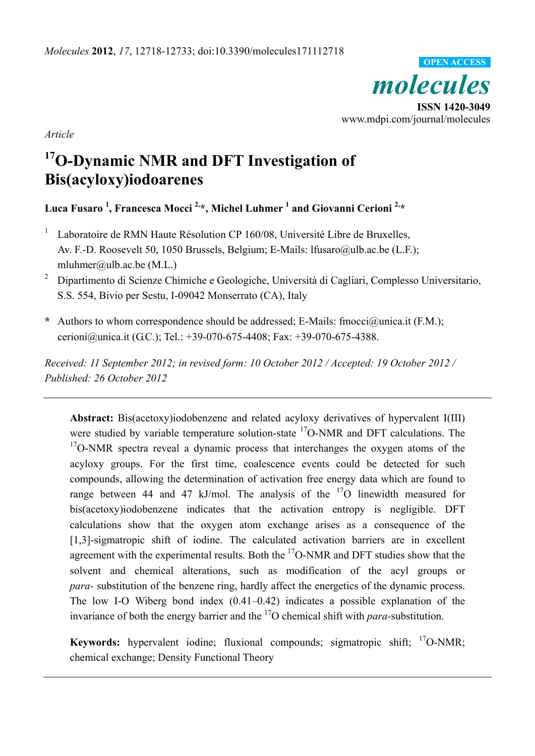

*Article* 

# **17O-Dynamic NMR and DFT Investigation of Bis(acyloxy)iodoarenes**

**Luca Fusaro <sup>1</sup> , Francesca Mocci 2,\*, Michel Luhmer 1 and Giovanni Cerioni 2,\*** 

- 1 Laboratoire de RMN Haute Résolution CP 160/08, Université Libre de Bruxelles, Av. F.-D. Roosevelt 50, 1050 Brussels, Belgium; E-Mails: lfusaro@ulb.ac.be (L.F.); mluhmer@ulb.ac.be  $(M.L.)$
- 2 Dipartimento di Scienze Chimiche e Geologiche, Università di Cagliari, Complesso Universitario, S.S. 554, Bivio per Sestu, I-09042 Monserrato (CA), Italy
- **\*** Authors to whom correspondence should be addressed; E-Mails: fmocci@unica.it (F.M.); cerioni@unica.it (G.C.); Tel.: +39-070-675-4408; Fax: +39-070-675-4388.

*Received: 11 September 2012; in revised form: 10 October 2012 / Accepted: 19 October 2012 / Published: 26 October 2012* 

**Abstract:** Bis(acetoxy)iodobenzene and related acyloxy derivatives of hypervalent I(III) were studied by variable temperature solution-state <sup>17</sup>O-NMR and DFT calculations. The  $17$ O-NMR spectra reveal a dynamic process that interchanges the oxygen atoms of the acyloxy groups. For the first time, coalescence events could be detected for such compounds, allowing the determination of activation free energy data which are found to range between 44 and 47 kJ/mol. The analysis of the  $17<sup>o</sup>$  linewidth measured for bis(acetoxy)iodobenzene indicates that the activation entropy is negligible. DFT calculations show that the oxygen atom exchange arises as a consequence of the [1,3]-sigmatropic shift of iodine. The calculated activation barriers are in excellent agreement with the experimental results. Both the  $\rm{^{17}O}\text{-}NMR$  and DFT studies show that the solvent and chemical alterations, such as modification of the acyl groups or *para-* substitution of the benzene ring, hardly affect the energetics of the dynamic process. The low I-O Wiberg bond index (0.41–0.42) indicates a possible explanation of the invariance of both the energy barrier and the 17O chemical shift with *para-*substitution.

**Keywords:** hypervalent iodine; fluxional compounds; sigmatropic shift; <sup>17</sup>O-NMR; chemical exchange; Density Functional Theory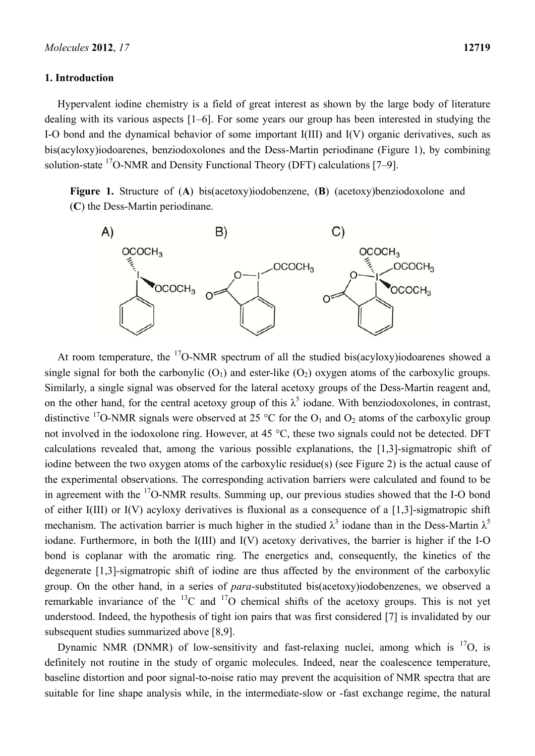#### **1. Introduction**

Hypervalent iodine chemistry is a field of great interest as shown by the large body of literature dealing with its various aspects [1–6]. For some years our group has been interested in studying the I-O bond and the dynamical behavior of some important I(III) and I(V) organic derivatives, such as bis(acyloxy)iodoarenes, benziodoxolones and the Dess-Martin periodinane (Figure 1), by combining solution-state 17O-NMR and Density Functional Theory (DFT) calculations [7–9].

**Figure 1.** Structure of (**A**) bis(acetoxy)iodobenzene, (**B**) (acetoxy)benziodoxolone and (**C**) the Dess-Martin periodinane.



At room temperature, the  $^{17}$ O-NMR spectrum of all the studied bis(acyloxy)iodoarenes showed a single signal for both the carbonylic  $(O_1)$  and ester-like  $(O_2)$  oxygen atoms of the carboxylic groups. Similarly, a single signal was observed for the lateral acetoxy groups of the Dess-Martin reagent and, on the other hand, for the central acetoxy group of this  $\lambda^5$  iodane. With benziodoxolones, in contrast, distinctive <sup>17</sup>O-NMR signals were observed at 25 °C for the  $O_1$  and  $O_2$  atoms of the carboxylic group not involved in the iodoxolone ring. However, at 45 °C, these two signals could not be detected. DFT calculations revealed that, among the various possible explanations, the [1,3]-sigmatropic shift of iodine between the two oxygen atoms of the carboxylic residue(s) (see Figure 2) is the actual cause of the experimental observations. The corresponding activation barriers were calculated and found to be in agreement with the <sup>17</sup>O-NMR results. Summing up, our previous studies showed that the I-O bond of either I(III) or I(V) acyloxy derivatives is fluxional as a consequence of a [1,3]-sigmatropic shift mechanism. The activation barrier is much higher in the studied  $\lambda^3$  iodane than in the Dess-Martin  $\lambda^5$ iodane. Furthermore, in both the I(III) and I(V) acetoxy derivatives, the barrier is higher if the I-O bond is coplanar with the aromatic ring. The energetics and, consequently, the kinetics of the degenerate [1,3]-sigmatropic shift of iodine are thus affected by the environment of the carboxylic group. On the other hand, in a series of *para*-substituted bis(acetoxy)iodobenzenes, we observed a remarkable invariance of the  ${}^{13}C$  and  ${}^{17}O$  chemical shifts of the acetoxy groups. This is not yet understood. Indeed, the hypothesis of tight ion pairs that was first considered [7] is invalidated by our subsequent studies summarized above [8,9].

Dynamic NMR (DNMR) of low-sensitivity and fast-relaxing nuclei, among which is  $^{17}O$ , is definitely not routine in the study of organic molecules. Indeed, near the coalescence temperature, baseline distortion and poor signal-to-noise ratio may prevent the acquisition of NMR spectra that are suitable for line shape analysis while, in the intermediate-slow or -fast exchange regime, the natural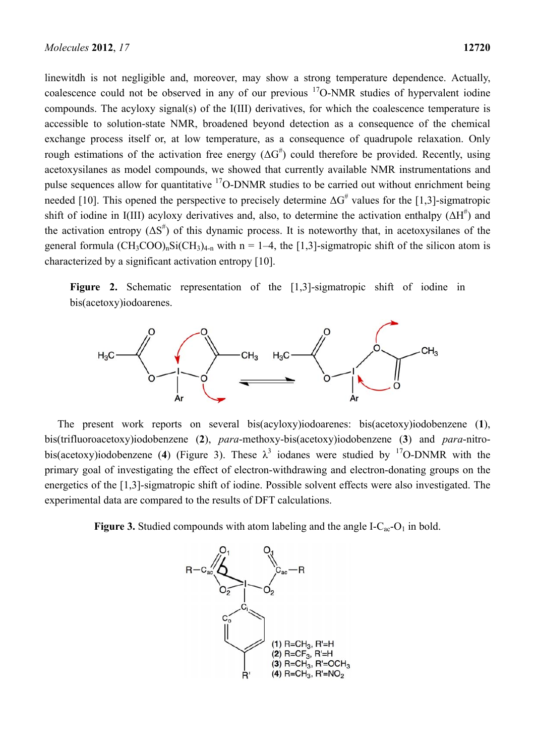linewitdh is not negligible and, moreover, may show a strong temperature dependence. Actually, coalescence could not be observed in any of our previous  $17O-NMR$  studies of hypervalent iodine compounds. The acyloxy signal(s) of the I(III) derivatives, for which the coalescence temperature is accessible to solution-state NMR, broadened beyond detection as a consequence of the chemical exchange process itself or, at low temperature, as a consequence of quadrupole relaxation. Only rough estimations of the activation free energy  $(\Delta G^{\#})$  could therefore be provided. Recently, using acetoxysilanes as model compounds, we showed that currently available NMR instrumentations and pulse sequences allow for quantitative  $17O-DNMR$  studies to be carried out without enrichment being needed [10]. This opened the perspective to precisely determine  $\Delta G^*$  values for the [1,3]-sigmatropic shift of iodine in I(III) acyloxy derivatives and, also, to determine the activation enthalpy  $(\Delta H^{\#})$  and the activation entropy  $(\Delta S^{\#})$  of this dynamic process. It is noteworthy that, in acetoxysilanes of the general formula  $(CH_3COO)_nSi(CH_3)_{4-n}$  with n = 1–4, the [1,3]-sigmatropic shift of the silicon atom is characterized by a significant activation entropy [10].

**Figure 2.** Schematic representation of the [1,3]-sigmatropic shift of iodine in bis(acetoxy)iodoarenes.



The present work reports on several bis(acyloxy)iodoarenes: bis(acetoxy)iodobenzene (**1**), bis(trifluoroacetoxy)iodobenzene (**2**), *para*-methoxy-bis(acetoxy)iodobenzene (**3**) and *para*-nitrobis(acetoxy)iodobenzene (4) (Figure 3). These  $\lambda^3$  iodanes were studied by <sup>17</sup>O-DNMR with the primary goal of investigating the effect of electron-withdrawing and electron-donating groups on the energetics of the [1,3]-sigmatropic shift of iodine. Possible solvent effects were also investigated. The experimental data are compared to the results of DFT calculations.

**Figure 3.** Studied compounds with atom labeling and the angle  $I-C_{ac}-O_1$  in bold.

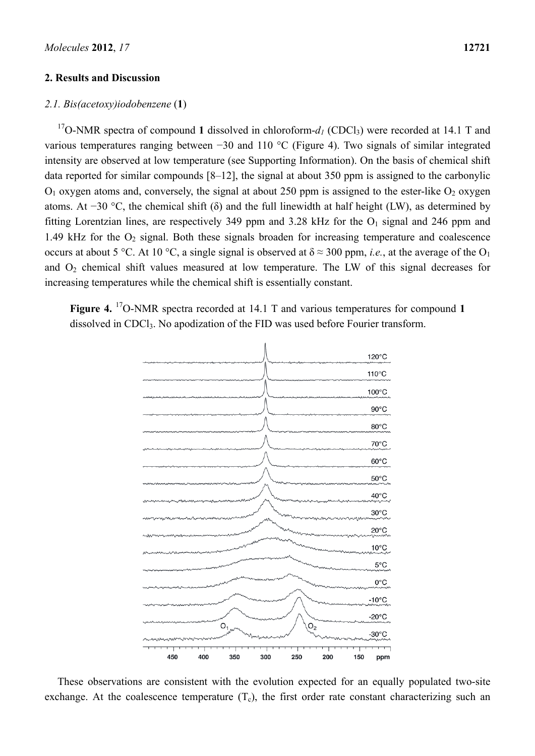#### **2. Results and Discussion**

#### *2.1. Bis(acetoxy)iodobenzene* (**1**)

<sup>17</sup>O-NMR spectra of compound 1 dissolved in chloroform- $d_1$  (CDCl<sub>3</sub>) were recorded at 14.1 T and various temperatures ranging between −30 and 110 °C (Figure 4). Two signals of similar integrated intensity are observed at low temperature (see Supporting Information). On the basis of chemical shift data reported for similar compounds [8–12], the signal at about 350 ppm is assigned to the carbonylic  $O_1$  oxygen atoms and, conversely, the signal at about 250 ppm is assigned to the ester-like  $O_2$  oxygen atoms. At −30 °C, the chemical shift ( $\delta$ ) and the full linewidth at half height (LW), as determined by fitting Lorentzian lines, are respectively 349 ppm and 3.28 kHz for the  $O<sub>1</sub>$  signal and 246 ppm and 1.49 kHz for the  $O_2$  signal. Both these signals broaden for increasing temperature and coalescence occurs at about 5 °C. At 10 °C, a single signal is observed at  $\delta \approx 300$  ppm, *i.e.*, at the average of the O<sub>1</sub> and  $O<sub>2</sub>$  chemical shift values measured at low temperature. The LW of this signal decreases for increasing temperatures while the chemical shift is essentially constant.

Figure 4.<sup>17</sup>O-NMR spectra recorded at 14.1 T and various temperatures for compound 1 dissolved in CDCl<sub>3</sub>. No apodization of the FID was used before Fourier transform.



These observations are consistent with the evolution expected for an equally populated two-site exchange. At the coalescence temperature  $(T_c)$ , the first order rate constant characterizing such an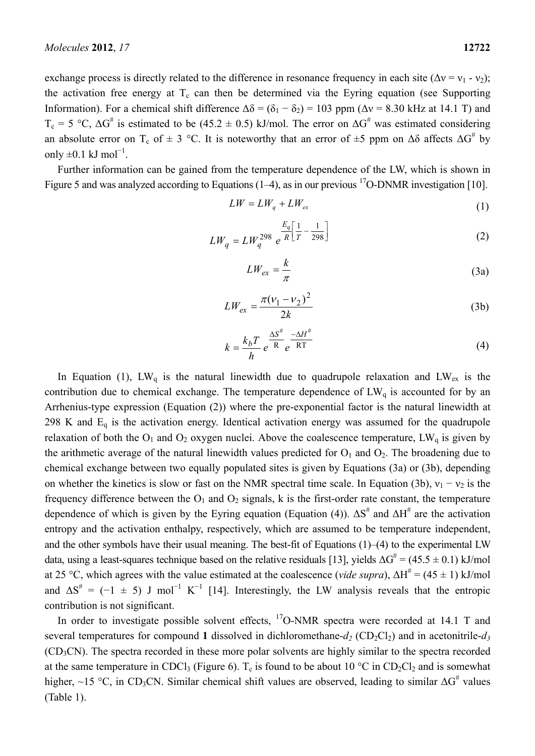exchange process is directly related to the difference in resonance frequency in each site ( $\Delta v = v_1 - v_2$ ); the activation free energy at  $T_c$  can then be determined via the Eyring equation (see Supporting Information). For a chemical shift difference  $\Delta \delta = (\delta_1 - \delta_2) = 103$  ppm ( $\Delta v = 8.30$  kHz at 14.1 T) and  $T_c = 5 \text{ °C}$ ,  $\Delta G^{\#}$  is estimated to be (45.2  $\pm$  0.5) kJ/mol. The error on  $\Delta G^{\#}$  was estimated considering an absolute error on T<sub>c</sub> of  $\pm$  3 °C. It is noteworthy that an error of  $\pm$ 5 ppm on  $\Delta\delta$  affects  $\Delta G^{\#}$  by only  $\pm 0.1$  kJ mol<sup>-1</sup>.

Further information can be gained from the temperature dependence of the LW, which is shown in Figure 5 and was analyzed according to Equations  $(1-4)$ , as in our previous <sup>17</sup>O-DNMR investigation [10].

$$
LW = LW_q + LW_{ex} \tag{1}
$$

$$
LW_q = LW_q^{298} e^{\frac{E_q}{R} \left[ \frac{1}{T} - \frac{1}{298} \right]}
$$
 (2)

$$
LW_{ex} = \frac{k}{\pi} \tag{3a}
$$

$$
LW_{ex} = \frac{\pi(\nu_1 - \nu_2)^2}{2k}
$$
 (3b)

$$
k = \frac{k_b T}{h} e^{\frac{\Delta S^{\#}}{R}} e^{\frac{-\Delta H^{\#}}{RT}}
$$
 (4)

In Equation (1),  $LW_q$  is the natural linewidth due to quadrupole relaxation and  $LW_{ex}$  is the contribution due to chemical exchange. The temperature dependence of  $LW_q$  is accounted for by an Arrhenius-type expression (Equation (2)) where the pre-exponential factor is the natural linewidth at 298 K and  $E_q$  is the activation energy. Identical activation energy was assumed for the quadrupole relaxation of both the  $O_1$  and  $O_2$  oxygen nuclei. Above the coalescence temperature, LW<sub>q</sub> is given by the arithmetic average of the natural linewidth values predicted for  $O_1$  and  $O_2$ . The broadening due to chemical exchange between two equally populated sites is given by Equations (3a) or (3b), depending on whether the kinetics is slow or fast on the NMR spectral time scale. In Equation (3b),  $v_1 - v_2$  is the frequency difference between the  $O_1$  and  $O_2$  signals, k is the first-order rate constant, the temperature dependence of which is given by the Eyring equation (Equation (4)).  $\Delta S^{\#}$  and  $\Delta H^{\#}$  are the activation entropy and the activation enthalpy, respectively, which are assumed to be temperature independent, and the other symbols have their usual meaning. The best-fit of Equations  $(1)$ – $(4)$  to the experimental LW data, using a least-squares technique based on the relative residuals [13], yields  $\Delta G^{\#}$  = (45.5  $\pm$  0.1) kJ/mol at 25 °C, which agrees with the value estimated at the coalescence (*vide supra*),  $\Delta H^{\#} = (45 \pm 1)$  kJ/mol and  $\Delta S^* = (-1 \pm 5)$  J mol<sup>-1</sup> K<sup>-1</sup> [14]. Interestingly, the LW analysis reveals that the entropic contribution is not significant.

In order to investigate possible solvent effects,  $^{17}$ O-NMR spectra were recorded at 14.1 T and several temperatures for compound 1 dissolved in dichloromethane- $d_2$  (CD<sub>2</sub>Cl<sub>2</sub>) and in acetonitrile- $d_3$ (CD3CN). The spectra recorded in these more polar solvents are highly similar to the spectra recorded at the same temperature in CDCl<sub>3</sub> (Figure 6). T<sub>c</sub> is found to be about 10 °C in CD<sub>2</sub>Cl<sub>2</sub> and is somewhat higher, ~15 °C, in CD<sub>3</sub>CN. Similar chemical shift values are observed, leading to similar  $\Delta G^*$  values (Table 1).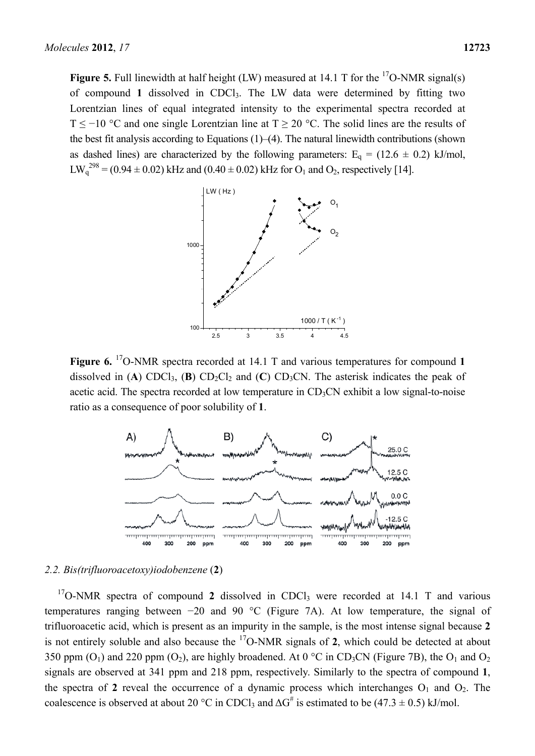**Figure 5.** Full linewidth at half height (LW) measured at 14.1 T for the  $17O-NMR$  signal(s) of compound **1** dissolved in CDCl3. The LW data were determined by fitting two Lorentzian lines of equal integrated intensity to the experimental spectra recorded at T < -10 °C and one single Lorentzian line at  $T > 20$  °C. The solid lines are the results of the best fit analysis according to Equations (1)–(4). The natural linewidth contributions (shown as dashed lines) are characterized by the following parameters:  $E_q = (12.6 \pm 0.2)$  kJ/mol,  $LW_q^{298} = (0.94 \pm 0.02)$  kHz and  $(0.40 \pm 0.02)$  kHz for  $O_1$  and  $O_2$ , respectively [14].



**Figure 6.** 17O-NMR spectra recorded at 14.1 T and various temperatures for compound **1** dissolved in (A) CDCl<sub>3</sub>, (B) CD<sub>2</sub>Cl<sub>2</sub> and (C) CD<sub>3</sub>CN. The asterisk indicates the peak of acetic acid. The spectra recorded at low temperature in  $CD<sub>3</sub>CN$  exhibit a low signal-to-noise ratio as a consequence of poor solubility of **1**.



#### *2.2. Bis(trifluoroacetoxy)iodobenzene* (**2**)

 $17$ O-NMR spectra of compound 2 dissolved in CDCl<sub>3</sub> were recorded at 14.1 T and various temperatures ranging between −20 and 90 °C (Figure 7A). At low temperature, the signal of trifluoroacetic acid, which is present as an impurity in the sample, is the most intense signal because **2** is not entirely soluble and also because the 17O-NMR signals of **2**, which could be detected at about 350 ppm  $(O_1)$  and 220 ppm  $(O_2)$ , are highly broadened. At 0 °C in CD<sub>3</sub>CN (Figure 7B), the  $O_1$  and  $O_2$ signals are observed at 341 ppm and 218 ppm, respectively. Similarly to the spectra of compound **1**, the spectra of 2 reveal the occurrence of a dynamic process which interchanges  $O_1$  and  $O_2$ . The coalescence is observed at about 20 °C in CDCl<sub>3</sub> and  $\Delta G^{\#}$  is estimated to be (47.3  $\pm$  0.5) kJ/mol.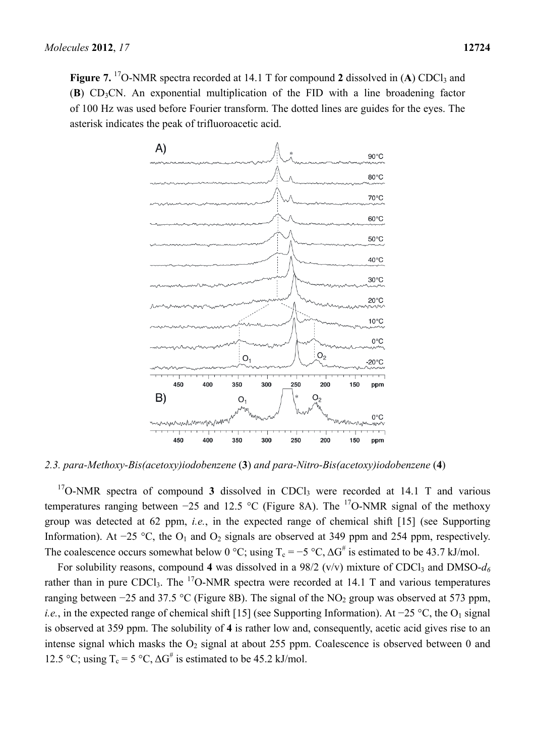**Figure 7.** <sup>17</sup>O-NMR spectra recorded at 14.1 T for compound 2 dissolved in (A) CDCl<sub>3</sub> and (**B**) CD3CN. An exponential multiplication of the FID with a line broadening factor of 100 Hz was used before Fourier transform. The dotted lines are guides for the eyes. The asterisk indicates the peak of trifluoroacetic acid.



*2.3. para-Methoxy-Bis(acetoxy)iodobenzene* (**3**) *and para-Nitro-Bis(acetoxy)iodobenzene* (**4**)

 $17$ O-NMR spectra of compound **3** dissolved in CDCl<sub>3</sub> were recorded at 14.1 T and various temperatures ranging between −25 and 12.5 °C (Figure 8A). The <sup>17</sup>O-NMR signal of the methoxy group was detected at 62 ppm, *i.e.*, in the expected range of chemical shift [15] (see Supporting Information). At −25 °C, the  $O_1$  and  $O_2$  signals are observed at 349 ppm and 254 ppm, respectively. The coalescence occurs somewhat below 0 °C; using  $T_c = -5$  °C,  $\Delta G^{\#}$  is estimated to be 43.7 kJ/mol.

For solubility reasons, compound 4 was dissolved in a  $98/2$  (v/v) mixture of CDCl<sub>3</sub> and DMSO- $d_6$ rather than in pure CDCl<sub>3</sub>. The <sup>17</sup>O-NMR spectra were recorded at 14.1 T and various temperatures ranging between  $-25$  and 37.5 °C (Figure 8B). The signal of the NO<sub>2</sub> group was observed at 573 ppm, *i.e.*, in the expected range of chemical shift [15] (see Supporting Information). At −25 °C, the O<sub>1</sub> signal is observed at 359 ppm. The solubility of **4** is rather low and, consequently, acetic acid gives rise to an intense signal which masks the  $O_2$  signal at about 255 ppm. Coalescence is observed between 0 and 12.5 °C; using  $T_c = 5$  °C,  $\Delta G^{\#}$  is estimated to be 45.2 kJ/mol.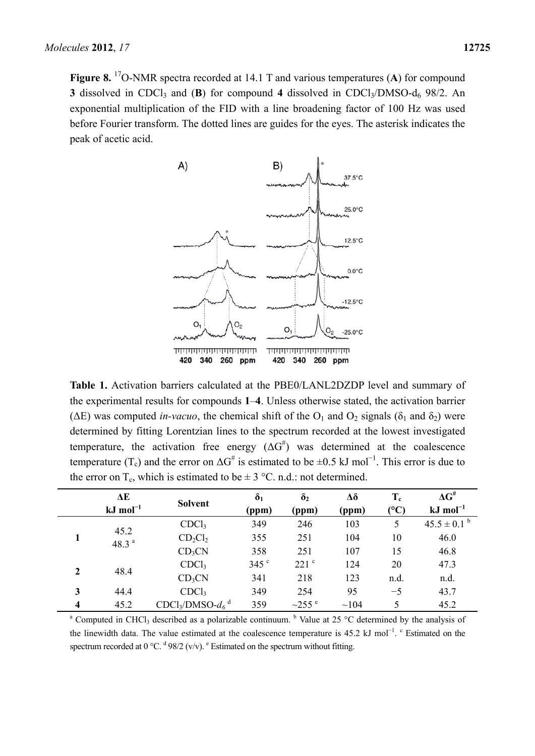

**Table 1.** Activation barriers calculated at the PBE0/LANL2DZDP level and summary of the experimental results for compounds **1**–**4**. Unless otherwise stated, the activation barrier ( $\Delta E$ ) was computed *in-vacuo*, the chemical shift of the  $O_1$  and  $O_2$  signals ( $\delta_1$  and  $\delta_2$ ) were determined by fitting Lorentzian lines to the spectrum recorded at the lowest investigated temperature, the activation free energy  $(\Delta G^{\#})$  was determined at the coalescence temperature (T<sub>c</sub>) and the error on  $\Delta G^{\#}$  is estimated to be  $\pm 0.5$  kJ mol<sup>-1</sup>. This error is due to the error on  $T_c$ , which is estimated to be  $\pm 3$  °C. n.d.: not determined.

|                         | ΔE                    | <b>Solvent</b>               | $\delta_1$      | $\delta_2$       | Δδ         | $T_c$                 | $\Delta G^{\text{\#}}$ |
|-------------------------|-----------------------|------------------------------|-----------------|------------------|------------|-----------------------|------------------------|
|                         | $kJ \text{ mol}^{-1}$ |                              | (ppm)           | (ppm)            | (ppm)      | $({}^{\circ}{\rm C})$ | $kJ \text{ mol}^{-1}$  |
|                         | 45.2                  | CDCl <sub>3</sub>            | 349             | 246              | 103        | 5                     | $45.5 \pm 0.1^{\circ}$ |
|                         | 48.3 $a$              | $CD_2Cl_2$                   | 355             | 251              | 104        | 10                    | 46.0                   |
|                         |                       | CD <sub>3</sub> CN           | 358             | 251              | 107        | 15                    | 46.8                   |
| $\overline{2}$          | 48.4                  | CDCl <sub>3</sub>            | $345$ $\degree$ | 221 <sup>c</sup> | 124        | 20                    | 47.3                   |
|                         |                       | CD <sub>3</sub> CN           | 341             | 218              | 123        | n.d.                  | n.d.                   |
| 3                       | 44.4                  | CDCl <sub>3</sub>            | 349             | 254              | 95         | $-5$                  | 43.7                   |
| $\overline{\mathbf{4}}$ | 45.2                  | $CDCl3/DMSO-d6$ <sup>d</sup> | 359             | $\sim$ 255 $e$   | $\sim$ 104 | 5                     | 45.2                   |

<sup>a</sup> Computed in CHCl<sub>3</sub> described as a polarizable continuum. <sup>b</sup> Value at 25 °C determined by the analysis of the linewidth data. The value estimated at the coalescence temperature is 45.2 kJ mol<sup>-1</sup>. <sup>c</sup> Estimated on the spectrum recorded at 0 °C.  $d \frac{98}{2}$  (v/v). <sup>e</sup> Estimated on the spectrum without fitting.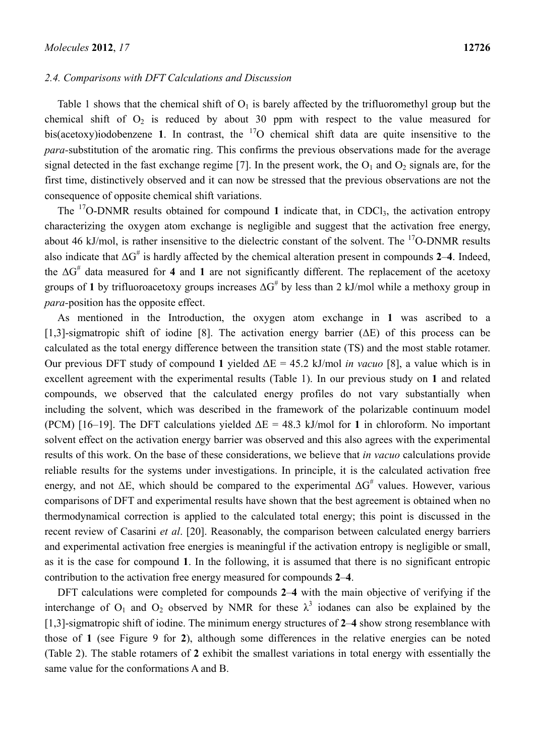#### *2.4. Comparisons with DFT Calculations and Discussion*

Table 1 shows that the chemical shift of  $O<sub>1</sub>$  is barely affected by the trifluoromethyl group but the chemical shift of  $O_2$  is reduced by about 30 ppm with respect to the value measured for bis(acetoxy)iodobenzene **1**. In contrast, the  $17$ O chemical shift data are quite insensitive to the *para-*substitution of the aromatic ring. This confirms the previous observations made for the average signal detected in the fast exchange regime [7]. In the present work, the  $O_1$  and  $O_2$  signals are, for the first time, distinctively observed and it can now be stressed that the previous observations are not the consequence of opposite chemical shift variations.

The  $\frac{17}{10}$ -DNMR results obtained for compound 1 indicate that, in CDCl<sub>3</sub>, the activation entropy characterizing the oxygen atom exchange is negligible and suggest that the activation free energy, about 46 kJ/mol, is rather insensitive to the dielectric constant of the solvent. The  $^{17}$ O-DNMR results also indicate that  $\Delta G^{\#}$  is hardly affected by the chemical alteration present in compounds 2–4. Indeed, the ΔG# data measured for **4** and **1** are not significantly different. The replacement of the acetoxy groups of 1 by trifluoroacetoxy groups increases  $\Delta G^{\#}$  by less than 2 kJ/mol while a methoxy group in *para-*position has the opposite effect.

As mentioned in the Introduction, the oxygen atom exchange in **1** was ascribed to a [1,3]-sigmatropic shift of iodine [8]. The activation energy barrier ( $\Delta E$ ) of this process can be calculated as the total energy difference between the transition state (TS) and the most stable rotamer. Our previous DFT study of compound 1 yielded  $\Delta E = 45.2$  kJ/mol *in vacuo* [8], a value which is in excellent agreement with the experimental results (Table 1). In our previous study on **1** and related compounds, we observed that the calculated energy profiles do not vary substantially when including the solvent, which was described in the framework of the polarizable continuum model (PCM) [16–19]. The DFT calculations yielded  $\Delta E = 48.3$  kJ/mol for 1 in chloroform. No important solvent effect on the activation energy barrier was observed and this also agrees with the experimental results of this work. On the base of these considerations, we believe that *in vacuo* calculations provide reliable results for the systems under investigations. In principle, it is the calculated activation free energy, and not  $\Delta E$ , which should be compared to the experimental  $\Delta G^{\#}$  values. However, various comparisons of DFT and experimental results have shown that the best agreement is obtained when no thermodynamical correction is applied to the calculated total energy; this point is discussed in the recent review of Casarini *et al*. [20]. Reasonably, the comparison between calculated energy barriers and experimental activation free energies is meaningful if the activation entropy is negligible or small, as it is the case for compound **1**. In the following, it is assumed that there is no significant entropic contribution to the activation free energy measured for compounds **2**–**4**.

DFT calculations were completed for compounds **2**–**4** with the main objective of verifying if the interchange of  $O_1$  and  $O_2$  observed by NMR for these  $\lambda^3$  iodanes can also be explained by the [1,3]-sigmatropic shift of iodine. The minimum energy structures of **2**–**4** show strong resemblance with those of **1** (see Figure 9 for **2**), although some differences in the relative energies can be noted (Table 2). The stable rotamers of **2** exhibit the smallest variations in total energy with essentially the same value for the conformations A and B.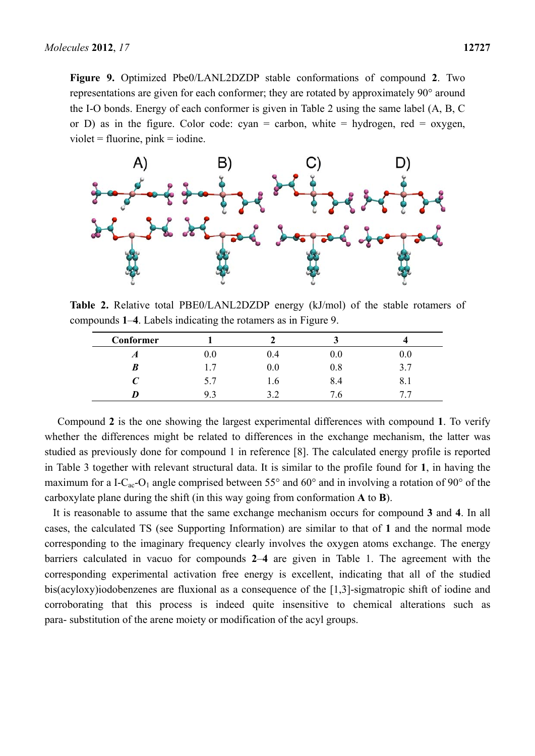**Figure 9.** Optimized Pbe0/LANL2DZDP stable conformations of compound **2**. Two representations are given for each conformer; they are rotated by approximately 90° around the I-O bonds. Energy of each conformer is given in Table 2 using the same label (A, B, C or D) as in the figure. Color code: cyan = carbon, white = hydrogen, red = oxygen,  $violet = fluorine, pink = iodine.$ 



**Table 2.** Relative total PBE0/LANL2DZDP energy (kJ/mol) of the stable rotamers of compounds **1**–**4**. Labels indicating the rotamers as in Figure 9.

| Conformer |         |     |            |     |
|-----------|---------|-----|------------|-----|
| A         | $0.0\,$ | 0.4 | 0.0        | 0.0 |
| B         | 1.7     | 0.0 | 0.8        | 3.7 |
|           | 5.7     | 1.0 | 8.4        | 8.1 |
|           | 9.3     | ے . | $\cdot$ .0 |     |

Compound **2** is the one showing the largest experimental differences with compound **1**. To verify whether the differences might be related to differences in the exchange mechanism, the latter was studied as previously done for compound 1 in reference [8]. The calculated energy profile is reported in Table 3 together with relevant structural data. It is similar to the profile found for **1**, in having the maximum for a I-C<sub>ac</sub>-O<sub>1</sub> angle comprised between 55 $^{\circ}$  and 60 $^{\circ}$  and in involving a rotation of 90 $^{\circ}$  of the carboxylate plane during the shift (in this way going from conformation **A** to **B**).

It is reasonable to assume that the same exchange mechanism occurs for compound **3** and **4**. In all cases, the calculated TS (see Supporting Information) are similar to that of **1** and the normal mode corresponding to the imaginary frequency clearly involves the oxygen atoms exchange. The energy barriers calculated in vacuo for compounds **2**–**4** are given in Table 1. The agreement with the corresponding experimental activation free energy is excellent, indicating that all of the studied bis(acyloxy)iodobenzenes are fluxional as a consequence of the [1,3]-sigmatropic shift of iodine and corroborating that this process is indeed quite insensitive to chemical alterations such as para- substitution of the arene moiety or modification of the acyl groups.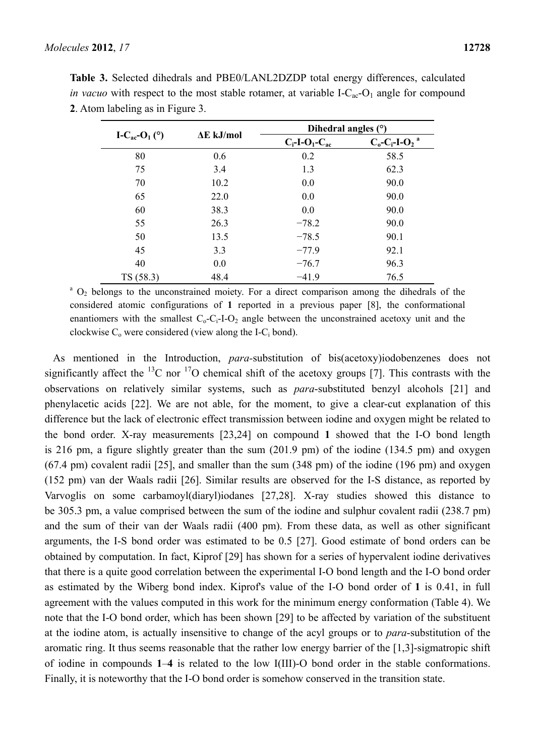|                                               |                   | Dihedral angles (°)                      |                                      |  |
|-----------------------------------------------|-------------------|------------------------------------------|--------------------------------------|--|
| I-C <sub>ac</sub> -O <sub>1</sub> ( $\circ$ ) | $\Delta E$ kJ/mol | $C_i$ -I-O <sub>1</sub> -C <sub>ac</sub> | $C_0$ - $C_i$ -I- $O_2$ <sup>a</sup> |  |
| 80                                            | 0.6               | 0.2                                      | 58.5                                 |  |
| 75                                            | 3.4               | 1.3                                      | 62.3                                 |  |
| 70                                            | 10.2              | 0.0                                      | 90.0                                 |  |
| 65                                            | 22.0              | 0.0                                      | 90.0                                 |  |
| 60                                            | 38.3              | 0.0                                      | 90.0                                 |  |
| 55                                            | 26.3              | $-78.2$                                  | 90.0                                 |  |
| 50                                            | 13.5              | $-78.5$                                  | 90.1                                 |  |
| 45                                            | 3.3               | $-77.9$                                  | 92.1                                 |  |
| 40                                            | 0.0               | $-76.7$                                  | 96.3                                 |  |
| TS(58.3)                                      | 48.4              | $-41.9$                                  | 76.5                                 |  |

**Table 3.** Selected dihedrals and PBE0/LANL2DZDP total energy differences, calculated *in vacuo* with respect to the most stable rotamer, at variable I- $C_{ac}$ - $O_1$  angle for compound **2**. Atom labeling as in Figure 3.

<sup>a</sup> O<sub>2</sub> belongs to the unconstrained moiety. For a direct comparison among the dihedrals of the considered atomic configurations of **1** reported in a previous paper [8], the conformational enantiomers with the smallest  $C_0$ - $C_1$ -I- $O_2$  angle between the unconstrained acetoxy unit and the clockwise  $C_0$  were considered (view along the I-C<sub>i</sub> bond).

As mentioned in the Introduction, *para-*substitution of bis(acetoxy)iodobenzenes does not significantly affect the <sup>13</sup>C nor <sup>17</sup>O chemical shift of the acetoxy groups [7]. This contrasts with the observations on relatively similar systems, such as *para*-substituted benzyl alcohols [21] and phenylacetic acids [22]. We are not able, for the moment, to give a clear-cut explanation of this difference but the lack of electronic effect transmission between iodine and oxygen might be related to the bond order. X-ray measurements [23,24] on compound **1** showed that the I-O bond length is 216 pm, a figure slightly greater than the sum (201.9 pm) of the iodine (134.5 pm) and oxygen (67.4 pm) covalent radii [25], and smaller than the sum (348 pm) of the iodine (196 pm) and oxygen (152 pm) van der Waals radii [26]. Similar results are observed for the I-S distance, as reported by Varvoglis on some carbamoyl(diaryl)iodanes [27,28]. X-ray studies showed this distance to be 305.3 pm, a value comprised between the sum of the iodine and sulphur covalent radii (238.7 pm) and the sum of their van der Waals radii (400 pm). From these data, as well as other significant arguments, the I-S bond order was estimated to be 0.5 [27]. Good estimate of bond orders can be obtained by computation. In fact, Kiprof [29] has shown for a series of hypervalent iodine derivatives that there is a quite good correlation between the experimental I-O bond length and the I-O bond order as estimated by the Wiberg bond index. Kiprof's value of the I-O bond order of **1** is 0.41, in full agreement with the values computed in this work for the minimum energy conformation (Table 4). We note that the I-O bond order, which has been shown [29] to be affected by variation of the substituent at the iodine atom, is actually insensitive to change of the acyl groups or to *para*-substitution of the aromatic ring. It thus seems reasonable that the rather low energy barrier of the [1,3]-sigmatropic shift of iodine in compounds **1**–**4** is related to the low I(III)-O bond order in the stable conformations. Finally, it is noteworthy that the I-O bond order is somehow conserved in the transition state.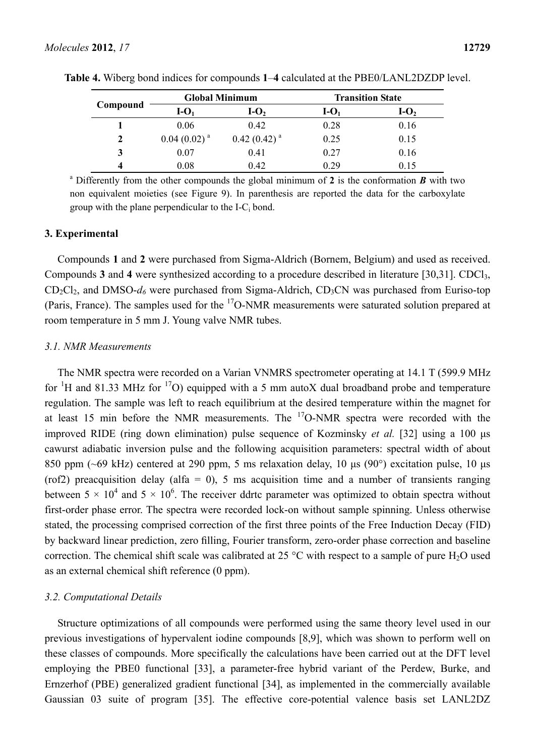|          | <b>Global Minimum</b>      |                  | <b>Transition State</b> |        |  |
|----------|----------------------------|------------------|-------------------------|--------|--|
| Compound | $I-O1$                     | $I-O2$           | $I-O1$                  | $I-O2$ |  |
|          | 0.06                       | 0.42             | 0.28                    | 0.16   |  |
| 2        | $0.04$ (0.02) <sup>a</sup> | $0.42(0.42)^{a}$ | 0.25                    | 0.15   |  |
| 3        | 0.07                       | 0.41             | 0.27                    | 0.16   |  |
|          | 0.08                       | 0.42             | 0.29                    | 0.15   |  |

**Table 4.** Wiberg bond indices for compounds **1**–**4** calculated at the PBE0/LANL2DZDP level.

a Differently from the other compounds the global minimum of **2** is the conformation *B* with two non equivalent moieties (see Figure 9). In parenthesis are reported the data for the carboxylate group with the plane perpendicular to the I-C<sub>i</sub> bond.

### **3. Experimental**

Compounds **1** and **2** were purchased from Sigma-Aldrich (Bornem, Belgium) and used as received. Compounds **3** and **4** were synthesized according to a procedure described in literature [30,31]. CDCl3,  $CD_2Cl_2$ , and DMSO- $d_6$  were purchased from Sigma-Aldrich,  $CD_3CN$  was purchased from Euriso-top (Paris, France). The samples used for the  $^{17}$ O-NMR measurements were saturated solution prepared at room temperature in 5 mm J. Young valve NMR tubes.

#### *3.1. NMR Measurements*

The NMR spectra were recorded on a Varian VNMRS spectrometer operating at 14.1 T (599.9 MHz for <sup>1</sup>H and 81.33 MHz for <sup>17</sup>O) equipped with a 5 mm autoX dual broadband probe and temperature regulation. The sample was left to reach equilibrium at the desired temperature within the magnet for at least 15 min before the NMR measurements. The  $17$ O-NMR spectra were recorded with the improved RIDE (ring down elimination) pulse sequence of Kozminsky *et al.* [32] using a 100 μs cawurst adiabatic inversion pulse and the following acquisition parameters: spectral width of about 850 ppm (~69 kHz) centered at 290 ppm, 5 ms relaxation delay, 10 μs (90°) excitation pulse, 10 μs (rof2) preacquisition delay (alfa = 0), 5 ms acquisition time and a number of transients ranging between  $5 \times 10^4$  and  $5 \times 10^6$ . The receiver ddrtc parameter was optimized to obtain spectra without first-order phase error. The spectra were recorded lock-on without sample spinning. Unless otherwise stated, the processing comprised correction of the first three points of the Free Induction Decay (FID) by backward linear prediction, zero filling, Fourier transform, zero-order phase correction and baseline correction. The chemical shift scale was calibrated at 25  $^{\circ}$ C with respect to a sample of pure H<sub>2</sub>O used as an external chemical shift reference (0 ppm).

#### *3.2. Computational Details*

Structure optimizations of all compounds were performed using the same theory level used in our previous investigations of hypervalent iodine compounds [8,9], which was shown to perform well on these classes of compounds. More specifically the calculations have been carried out at the DFT level employing the PBE0 functional [33], a parameter-free hybrid variant of the Perdew, Burke, and Ernzerhof (PBE) generalized gradient functional [34], as implemented in the commercially available Gaussian 03 suite of program [35]. The effective core-potential valence basis set LANL2DZ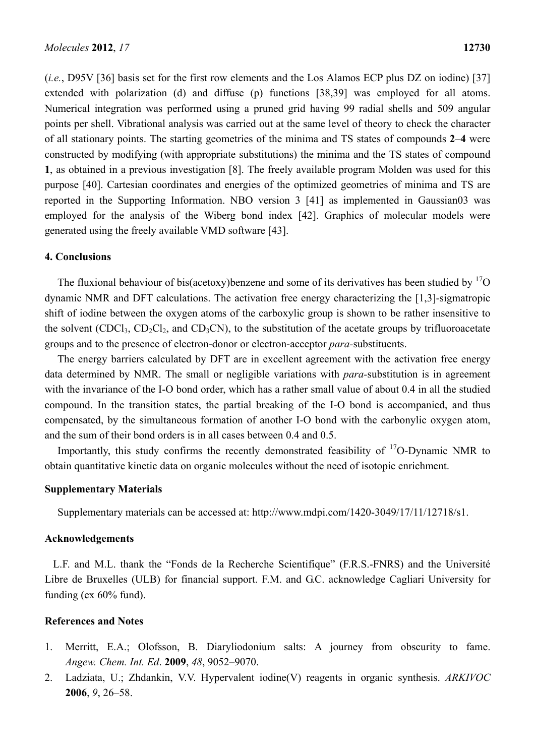(*i.e.*, D95V [36] basis set for the first row elements and the Los Alamos ECP plus DZ on iodine) [37] extended with polarization (d) and diffuse (p) functions [38,39] was employed for all atoms. Numerical integration was performed using a pruned grid having 99 radial shells and 509 angular points per shell. Vibrational analysis was carried out at the same level of theory to check the character of all stationary points. The starting geometries of the minima and TS states of compounds **2**–**4** were constructed by modifying (with appropriate substitutions) the minima and the TS states of compound **1**, as obtained in a previous investigation [8]. The freely available program Molden was used for this purpose [40]. Cartesian coordinates and energies of the optimized geometries of minima and TS are reported in the Supporting Information. NBO version 3 [41] as implemented in Gaussian03 was employed for the analysis of the Wiberg bond index [42]. Graphics of molecular models were generated using the freely available VMD software [43].

#### **4. Conclusions**

The fluxional behaviour of bis(acetoxy)benzene and some of its derivatives has been studied by  $^{17}O$ dynamic NMR and DFT calculations. The activation free energy characterizing the [1,3]-sigmatropic shift of iodine between the oxygen atoms of the carboxylic group is shown to be rather insensitive to the solvent  $(CDCl_3, CD_2Cl_2,$  and  $CD_3CN$ , to the substitution of the acetate groups by trifluoroacetate groups and to the presence of electron-donor or electron-acceptor *para-*substituents.

The energy barriers calculated by DFT are in excellent agreement with the activation free energy data determined by NMR. The small or negligible variations with *para-*substitution is in agreement with the invariance of the I-O bond order, which has a rather small value of about 0.4 in all the studied compound. In the transition states, the partial breaking of the I-O bond is accompanied, and thus compensated, by the simultaneous formation of another I-O bond with the carbonylic oxygen atom, and the sum of their bond orders is in all cases between 0.4 and 0.5.

Importantly, this study confirms the recently demonstrated feasibility of  $\rm{^{17}O-Dy}$  namic NMR to obtain quantitative kinetic data on organic molecules without the need of isotopic enrichment.

#### **Supplementary Materials**

Supplementary materials can be accessed at: http://www.mdpi.com/1420-3049/17/11/12718/s1.

#### **Acknowledgements**

L.F. and M.L. thank the "Fonds de la Recherche Scientifique" (F.R.S.-FNRS) and the Université Libre de Bruxelles (ULB) for financial support. F.M. and G.C. acknowledge Cagliari University for funding (ex 60% fund).

#### **References and Notes**

- 1. Merritt, E.A.; Olofsson, B. Diaryliodonium salts: A journey from obscurity to fame. *Angew. Chem. Int. Ed*. **2009**, *48*, 9052–9070.
- 2. Ladziata, U.; Zhdankin, V.V. Hypervalent iodine(V) reagents in organic synthesis. *ARKIVOC* **2006**, *9*, 26–58.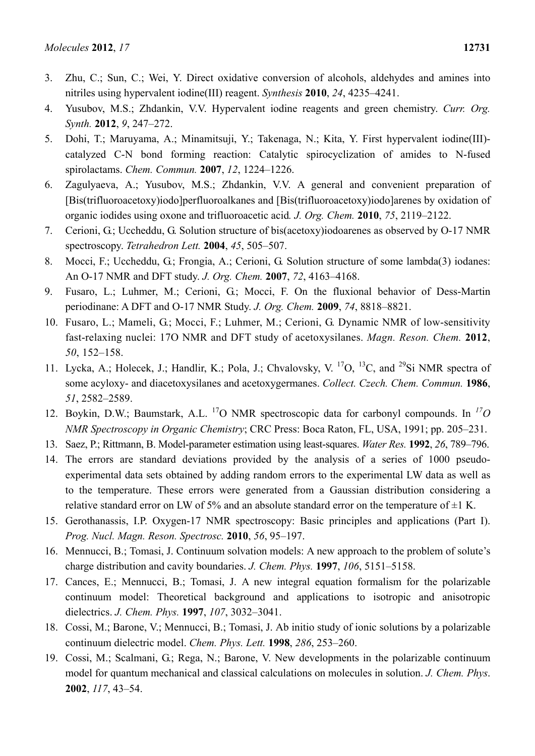- 3. Zhu, C.; Sun, C.; Wei, Y. Direct oxidative conversion of alcohols, aldehydes and amines into nitriles using hypervalent iodine(III) reagent. *Synthesis* **2010**, *24*, 4235–4241.
- 4. Yusubov, M.S.; Zhdankin, V.V. Hypervalent iodine reagents and green chemistry. *Curr. Org. Synth.* **2012**, *9*, 247–272.
- 5. Dohi, T.; Maruyama, A.; Minamitsuji, Y.; Takenaga, N.; Kita, Y. First hypervalent iodine(III) catalyzed C-N bond forming reaction: Catalytic spirocyclization of amides to N-fused spirolactams. *Chem. Commun.* **2007**, *12*, 1224–1226.
- 6. Zagulyaeva, A.; Yusubov, M.S.; Zhdankin, V.V. A general and convenient preparation of [Bis(trifluoroacetoxy)iodo]perfluoroalkanes and [Bis(trifluoroacetoxy)iodo]arenes by oxidation of organic iodides using oxone and trifluoroacetic acid*. J. Org. Chem.* **2010**, *75*, 2119–2122.
- 7. Cerioni, G.; Uccheddu, G. Solution structure of bis(acetoxy)iodoarenes as observed by O-17 NMR spectroscopy. *Tetrahedron Lett.* **2004**, *45*, 505–507.
- 8. Mocci, F.; Uccheddu, G.; Frongia, A.; Cerioni, G. Solution structure of some lambda(3) iodanes: An O-17 NMR and DFT study. *J. Org. Chem.* **2007**, *72*, 4163–4168.
- 9. Fusaro, L.; Luhmer, M.; Cerioni, G.; Mocci, F. On the fluxional behavior of Dess-Martin periodinane: A DFT and O-17 NMR Study. *J. Org. Chem.* **2009**, *74*, 8818–8821.
- 10. Fusaro, L.; Mameli, G.; Mocci, F.; Luhmer, M.; Cerioni, G. Dynamic NMR of low-sensitivity fast-relaxing nuclei: 17O NMR and DFT study of acetoxysilanes. *Magn. Reson. Chem.* **2012**, *50*, 152–158.
- 11. Lycka, A.; Holecek, J.; Handlir, K.; Pola, J.; Chvalovsky, V.<sup>17</sup>O, <sup>13</sup>C, and <sup>29</sup>Si NMR spectra of some acyloxy- and diacetoxysilanes and acetoxygermanes. *Collect. Czech. Chem. Commun.* **1986**, *51*, 2582–2589.
- 12. Boykin, D.W.; Baumstark, A.L. 17O NMR spectroscopic data for carbonyl compounds. In *17O NMR Spectroscopy in Organic Chemistry*; CRC Press: Boca Raton, FL, USA, 1991; pp. 205–231.
- 13. Saez, P.; Rittmann, B. Model-parameter estimation using least-squares. *Water Res.* **1992**, *26*, 789–796.
- 14. The errors are standard deviations provided by the analysis of a series of 1000 pseudoexperimental data sets obtained by adding random errors to the experimental LW data as well as to the temperature. These errors were generated from a Gaussian distribution considering a relative standard error on LW of 5% and an absolute standard error on the temperature of  $\pm 1$  K.
- 15. Gerothanassis, I.P. Oxygen-17 NMR spectroscopy: Basic principles and applications (Part I). *Prog. Nucl. Magn. Reson. Spectrosc.* **2010**, *56*, 95–197.
- 16. Mennucci, B.; Tomasi, J. Continuum solvation models: A new approach to the problem of solute's charge distribution and cavity boundaries. *J. Chem. Phys.* **1997**, *106*, 5151–5158.
- 17. Cances, E.; Mennucci, B.; Tomasi, J. A new integral equation formalism for the polarizable continuum model: Theoretical background and applications to isotropic and anisotropic dielectrics. *J. Chem. Phys.* **1997**, *107*, 3032–3041.
- 18. Cossi, M.; Barone, V.; Mennucci, B.; Tomasi, J. Ab initio study of ionic solutions by a polarizable continuum dielectric model. *Chem. Phys. Lett.* **1998**, *286*, 253–260.
- 19. Cossi, M.; Scalmani, G.; Rega, N.; Barone, V. New developments in the polarizable continuum model for quantum mechanical and classical calculations on molecules in solution. *J. Chem. Phys*. **2002**, *117*, 43–54.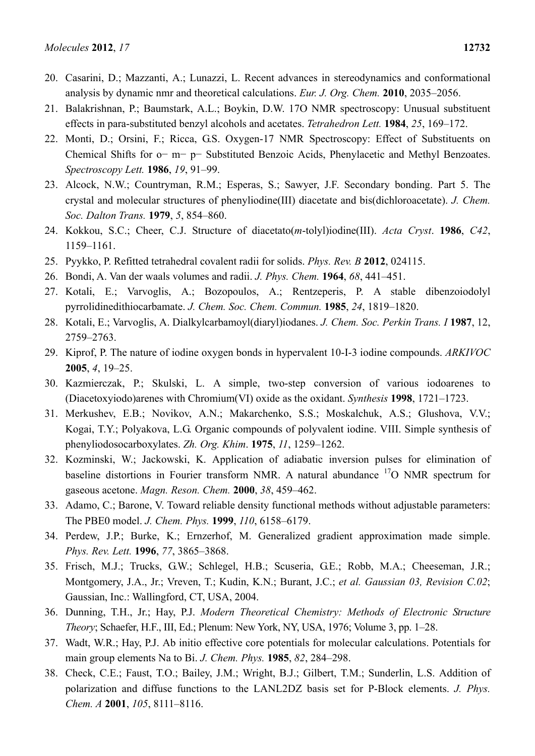- 20. Casarini, D.; Mazzanti, A.; Lunazzi, L. Recent advances in stereodynamics and conformational analysis by dynamic nmr and theoretical calculations. *Eur. J. Org. Chem.* **2010**, 2035–2056.
- 21. Balakrishnan, P.; Baumstark, A.L.; Boykin, D.W. 17O NMR spectroscopy: Unusual substituent effects in para-substituted benzyl alcohols and acetates. *Tetrahedron Lett.* **1984**, *25*, 169–172.
- 22. Monti, D.; Orsini, F.; Ricca, G.S. Oxygen-17 NMR Spectroscopy: Effect of Substituents on Chemical Shifts for o− m− p− Substituted Benzoic Acids, Phenylacetic and Methyl Benzoates. *Spectroscopy Lett.* **1986**, *19*, 91–99.
- 23. Alcock, N.W.; Countryman, R.M.; Esperas, S.; Sawyer, J.F. Secondary bonding. Part 5. The crystal and molecular structures of phenyliodine(III) diacetate and bis(dichloroacetate). *J. Chem. Soc. Dalton Trans.* **1979**, *5*, 854–860.
- 24. Kokkou, S.C.; Cheer, C.J. Structure of diacetato(*m*-tolyl)iodine(III). *Acta Cryst*. **1986**, *C42*, 1159–1161.
- 25. Pyykko, P. Refitted tetrahedral covalent radii for solids. *Phys. Rev. B* **2012**, 024115.
- 26. Bondi, A. Van der waals volumes and radii. *J. Phys. Chem.* **1964**, *68*, 441–451.
- 27. Kotali, E.; Varvoglis, A.; Bozopoulos, A.; Rentzeperis, P. A stable dibenzoiodolyl pyrrolidinedithiocarbamate. *J. Chem. Soc. Chem. Commun.* **1985**, *24*, 1819–1820.
- 28. Kotali, E.; Varvoglis, A. Dialkylcarbamoyl(diaryl)iodanes. *J. Chem. Soc. Perkin Trans. I* **1987**, 12, 2759–2763.
- 29. Kiprof, P. The nature of iodine oxygen bonds in hypervalent 10-I-3 iodine compounds. *ARKIVOC* **2005**, *4*, 19–25.
- 30. Kazmierczak, P.; Skulski, L. A simple, two-step conversion of various iodoarenes to (Diacetoxyiodo)arenes with Chromium(VI) oxide as the oxidant. *Synthesis* **1998**, 1721–1723.
- 31. Merkushev, E.B.; Novikov, A.N.; Makarchenko, S.S.; Moskalchuk, A.S.; Glushova, V.V.; Kogai, T.Y.; Polyakova, L.G. Organic compounds of polyvalent iodine. VIII. Simple synthesis of phenyliodosocarboxylates. *Zh. Org. Khim*. **1975**, *11*, 1259–1262.
- 32. Kozminski, W.; Jackowski, K. Application of adiabatic inversion pulses for elimination of baseline distortions in Fourier transform NMR. A natural abundance <sup>17</sup>O NMR spectrum for gaseous acetone. *Magn. Reson. Chem.* **2000**, *38*, 459–462.
- 33. Adamo, C.; Barone, V. Toward reliable density functional methods without adjustable parameters: The PBE0 model. *J. Chem. Phys.* **1999**, *110*, 6158–6179.
- 34. Perdew, J.P.; Burke, K.; Ernzerhof, M. Generalized gradient approximation made simple. *Phys. Rev. Lett.* **1996**, *77*, 3865–3868.
- 35. Frisch, M.J.; Trucks, G.W.; Schlegel, H.B.; Scuseria, G.E.; Robb, M.A.; Cheeseman, J.R.; Montgomery, J.A., Jr.; Vreven, T.; Kudin, K.N.; Burant, J.C.; *et al. Gaussian 03, Revision C.02*; Gaussian, Inc.: Wallingford, CT, USA, 2004.
- 36. Dunning, T.H., Jr.; Hay, P.J. *Modern Theoretical Chemistry: Methods of Electronic Structure Theory*; Schaefer, H.F., III, Ed.; Plenum: New York, NY, USA, 1976; Volume 3, pp. 1–28.
- 37. Wadt, W.R.; Hay, P.J. Ab initio effective core potentials for molecular calculations. Potentials for main group elements Na to Bi. *J. Chem. Phys.* **1985**, *82*, 284–298.
- 38. Check, C.E.; Faust, T.O.; Bailey, J.M.; Wright, B.J.; Gilbert, T.M.; Sunderlin, L.S. Addition of polarization and diffuse functions to the LANL2DZ basis set for P-Block elements. *J. Phys. Chem. A* **2001**, *105*, 8111–8116.